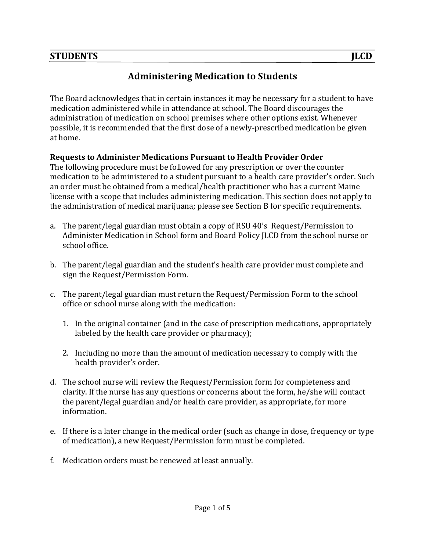# **Administering Medication to Students**

The Board acknowledges that in certain instances it may be necessary for a student to have medication administered while in attendance at school. The Board discourages the administration of medication on school premises where other options exist. Whenever possible, it is recommended that the first dose of a newly-prescribed medication be given at home.

### **Requests to Administer Medications Pursuant to Health Provider Order**

The following procedure must be followed for any prescription or over the counter medication to be administered to a student pursuant to a health care provider's order. Such an order must be obtained from a medical/health practitioner who has a current Maine license with a scope that includes administering medication. This section does not apply to the administration of medical marijuana; please see Section B for specific requirements.

- a. The parent/legal guardian must obtain a copy of RSU 40's Request/Permission to Administer Medication in School form and Board Policy ILCD from the school nurse or school office.
- b. The parent/legal guardian and the student's health care provider must complete and sign the Request/Permission Form.
- c. The parent/legal guardian must return the Request/Permission Form to the school office or school nurse along with the medication:
	- 1. In the original container (and in the case of prescription medications, appropriately labeled by the health care provider or pharmacy);
	- 2. Including no more than the amount of medication necessary to comply with the health provider's order.
- d. The school nurse will review the Request/Permission form for completeness and clarity. If the nurse has any questions or concerns about the form, he/she will contact the parent/legal guardian and/or health care provider, as appropriate, for more information.
- e. If there is a later change in the medical order (such as change in dose, frequency or type of medication), a new Request/Permission form must be completed.
- f. Medication orders must be renewed at least annually.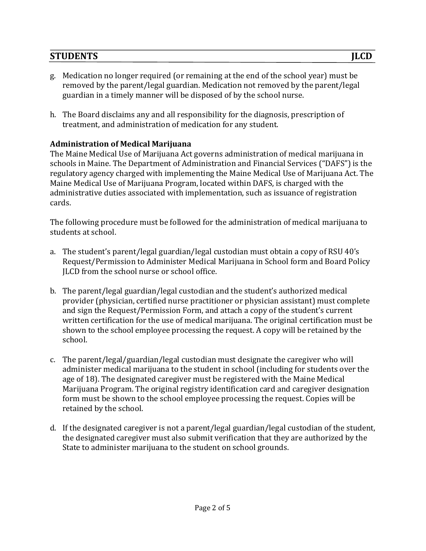- g. Medication no longer required (or remaining at the end of the school year) must be removed by the parent/legal guardian. Medication not removed by the parent/legal guardian in a timely manner will be disposed of by the school nurse.
- h. The Board disclaims any and all responsibility for the diagnosis, prescription of treatment, and administration of medication for any student.

### **Administration of Medical Marijuana**

The Maine Medical Use of Marijuana Act governs administration of medical marijuana in schools in Maine. The Department of Administration and Financial Services ("DAFS") is the regulatory agency charged with implementing the Maine Medical Use of Marijuana Act. The Maine Medical Use of Marijuana Program, located within DAFS, is charged with the administrative duties associated with implementation, such as issuance of registration cards. 

The following procedure must be followed for the administration of medical marijuana to students at school.

- a. The student's parent/legal guardian/legal custodian must obtain a copy of RSU 40's Request/Permission to Administer Medical Marijuana in School form and Board Policy ILCD from the school nurse or school office.
- b. The parent/legal guardian/legal custodian and the student's authorized medical provider (physician, certified nurse practitioner or physician assistant) must complete and sign the Request/Permission Form, and attach a copy of the student's current written certification for the use of medical marijuana. The original certification must be shown to the school employee processing the request. A copy will be retained by the school.
- c. The parent/legal/guardian/legal custodian must designate the caregiver who will administer medical marijuana to the student in school (including for students over the age of 18). The designated caregiver must be registered with the Maine Medical Marijuana Program. The original registry identification card and caregiver designation form must be shown to the school employee processing the request. Copies will be retained by the school.
- d. If the designated caregiver is not a parent/legal guardian/legal custodian of the student, the designated caregiver must also submit verification that they are authorized by the State to administer marijuana to the student on school grounds.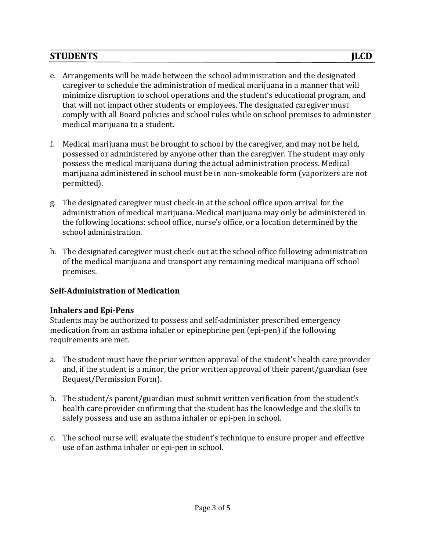- e. Arrangements will be made between the school administration and the designated caregiver to schedule the administration of medical marijuana in a manner that will minimize disruption to school operations and the student's educational program, and that will not impact other students or employees. The designated caregiver must comply with all Board policies and school rules while on school premises to administer medical marijuana to a student.
- f. Medical marijuana must be brought to school by the caregiver, and may not be held, possessed or administered by anyone other than the caregiver. The student may only possess the medical marijuana during the actual administration process. Medical marijuana administered in school must be in non-smokeable form (vaporizers are not permitted).
- g. The designated caregiver must check-in at the school office upon arrival for the administration of medical marijuana. Medical marijuana may only be administered in the following locations: school office, nurse's office, or a location determined by the school administration.
- h. The designated caregiver must check-out at the school office following administration of the medical marijuana and transport any remaining medical marijuana off school premises.

## **Self-Administration of Medication**

#### **Inhalers and Epi-Pens**

Students may be authorized to possess and self-administer prescribed emergency medication from an asthma inhaler or epinephrine pen (epi-pen) if the following requirements are met.

- a. The student must have the prior written approval of the student's health care provider and, if the student is a minor, the prior written approval of their parent/guardian (see Request/Permission Form).
- b. The student/s parent/guardian must submit written verification from the student's health care provider confirming that the student has the knowledge and the skills to safely possess and use an asthma inhaler or epi-pen in school.
- c. The school nurse will evaluate the student's technique to ensure proper and effective use of an asthma inhaler or epi-pen in school.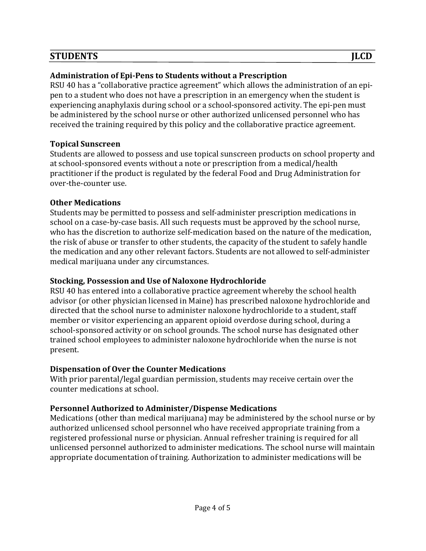### **Administration of Epi-Pens to Students without a Prescription**

RSU 40 has a "collaborative practice agreement" which allows the administration of an epipen to a student who does not have a prescription in an emergency when the student is experiencing anaphylaxis during school or a school-sponsored activity. The epi-pen must be administered by the school nurse or other authorized unlicensed personnel who has received the training required by this policy and the collaborative practice agreement.

#### **Topical Sunscreen**

Students are allowed to possess and use topical sunscreen products on school property and at school-sponsored events without a note or prescription from a medical/health practitioner if the product is regulated by the federal Food and Drug Administration for over-the-counter use.

### **Other Medications**

Students may be permitted to possess and self-administer prescription medications in school on a case-by-case basis. All such requests must be approved by the school nurse, who has the discretion to authorize self-medication based on the nature of the medication, the risk of abuse or transfer to other students, the capacity of the student to safely handle the medication and any other relevant factors. Students are not allowed to self-administer medical marijuana under any circumstances.

#### **Stocking, Possession and Use of Naloxone Hydrochloride**

RSU 40 has entered into a collaborative practice agreement whereby the school health advisor (or other physician licensed in Maine) has prescribed naloxone hydrochloride and directed that the school nurse to administer naloxone hydrochloride to a student, staff member or visitor experiencing an apparent opioid overdose during school, during a school-sponsored activity or on school grounds. The school nurse has designated other trained school employees to administer naloxone hydrochloride when the nurse is not present.

## **Dispensation of Over the Counter Medications**

With prior parental/legal guardian permission, students may receive certain over the counter medications at school.

## **Personnel Authorized to Administer/Dispense Medications**

Medications (other than medical marijuana) may be administered by the school nurse or by authorized unlicensed school personnel who have received appropriate training from a registered professional nurse or physician. Annual refresher training is required for all unlicensed personnel authorized to administer medications. The school nurse will maintain appropriate documentation of training. Authorization to administer medications will be